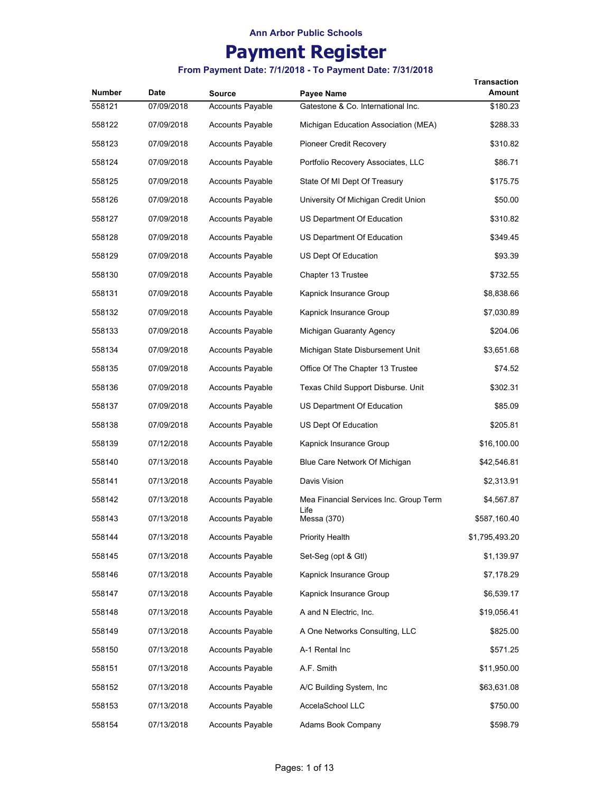## **Payment Register**

| Number | <b>Date</b> | <b>Source</b>           | Payee Name                             | Transaction<br>Amount |
|--------|-------------|-------------------------|----------------------------------------|-----------------------|
| 558121 | 07/09/2018  | <b>Accounts Payable</b> | Gatestone & Co. International Inc.     | \$180.23              |
| 558122 | 07/09/2018  | Accounts Payable        | Michigan Education Association (MEA)   | \$288.33              |
| 558123 | 07/09/2018  | <b>Accounts Payable</b> | Pioneer Credit Recovery                | \$310.82              |
| 558124 | 07/09/2018  | <b>Accounts Payable</b> | Portfolio Recovery Associates, LLC     | \$86.71               |
| 558125 | 07/09/2018  | <b>Accounts Payable</b> | State Of MI Dept Of Treasury           | \$175.75              |
| 558126 | 07/09/2018  | <b>Accounts Payable</b> | University Of Michigan Credit Union    | \$50.00               |
| 558127 | 07/09/2018  | <b>Accounts Payable</b> | US Department Of Education             | \$310.82              |
| 558128 | 07/09/2018  | <b>Accounts Payable</b> | US Department Of Education             | \$349.45              |
| 558129 | 07/09/2018  | <b>Accounts Payable</b> | US Dept Of Education                   | \$93.39               |
| 558130 | 07/09/2018  | <b>Accounts Payable</b> | Chapter 13 Trustee                     | \$732.55              |
| 558131 | 07/09/2018  | <b>Accounts Payable</b> | Kapnick Insurance Group                | \$8,838.66            |
| 558132 | 07/09/2018  | <b>Accounts Payable</b> | Kapnick Insurance Group                | \$7,030.89            |
| 558133 | 07/09/2018  | <b>Accounts Payable</b> | Michigan Guaranty Agency               | \$204.06              |
| 558134 | 07/09/2018  | <b>Accounts Payable</b> | Michigan State Disbursement Unit       | \$3,651.68            |
| 558135 | 07/09/2018  | <b>Accounts Payable</b> | Office Of The Chapter 13 Trustee       | \$74.52               |
| 558136 | 07/09/2018  | <b>Accounts Payable</b> | Texas Child Support Disburse. Unit     | \$302.31              |
| 558137 | 07/09/2018  | <b>Accounts Payable</b> | US Department Of Education             | \$85.09               |
| 558138 | 07/09/2018  | <b>Accounts Payable</b> | US Dept Of Education                   | \$205.81              |
| 558139 | 07/12/2018  | <b>Accounts Payable</b> | Kapnick Insurance Group                | \$16,100.00           |
| 558140 | 07/13/2018  | <b>Accounts Payable</b> | Blue Care Network Of Michigan          | \$42,546.81           |
| 558141 | 07/13/2018  | <b>Accounts Payable</b> | Davis Vision                           | \$2,313.91            |
| 558142 | 07/13/2018  | <b>Accounts Payable</b> | Mea Financial Services Inc. Group Term | \$4,567.87            |
| 558143 | 07/13/2018  | Accounts Payable        | Life<br>Messa (370)                    | \$587,160.40          |
| 558144 | 07/13/2018  | <b>Accounts Payable</b> | <b>Priority Health</b>                 | \$1,795,493.20        |
| 558145 | 07/13/2018  | <b>Accounts Payable</b> | Set-Seg (opt & Gtl)                    | \$1,139.97            |
| 558146 | 07/13/2018  | <b>Accounts Payable</b> | Kapnick Insurance Group                | \$7,178.29            |
| 558147 | 07/13/2018  | <b>Accounts Payable</b> | Kapnick Insurance Group                | \$6,539.17            |
| 558148 | 07/13/2018  | <b>Accounts Payable</b> | A and N Electric, Inc.                 | \$19,056.41           |
| 558149 | 07/13/2018  | <b>Accounts Payable</b> | A One Networks Consulting, LLC         | \$825.00              |
| 558150 | 07/13/2018  | <b>Accounts Payable</b> | A-1 Rental Inc                         | \$571.25              |
| 558151 | 07/13/2018  | <b>Accounts Payable</b> | A.F. Smith                             | \$11,950.00           |
| 558152 | 07/13/2018  | <b>Accounts Payable</b> | A/C Building System, Inc.              | \$63,631.08           |
| 558153 | 07/13/2018  | <b>Accounts Payable</b> | AccelaSchool LLC                       | \$750.00              |
| 558154 | 07/13/2018  | <b>Accounts Payable</b> | Adams Book Company                     | \$598.79              |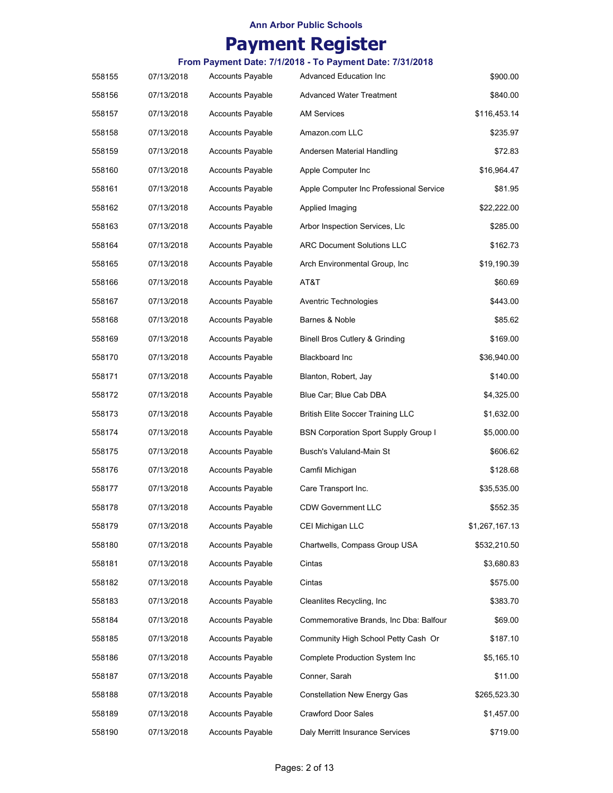# **Payment Register**

| 558155 | 07/13/2018 | <b>Accounts Payable</b> | <b>Advanced Education Inc</b>               | \$900.00       |
|--------|------------|-------------------------|---------------------------------------------|----------------|
| 558156 | 07/13/2018 | <b>Accounts Payable</b> | <b>Advanced Water Treatment</b>             | \$840.00       |
| 558157 | 07/13/2018 | Accounts Payable        | AM Services                                 | \$116,453.14   |
| 558158 | 07/13/2018 | <b>Accounts Payable</b> | Amazon.com LLC                              | \$235.97       |
| 558159 | 07/13/2018 | <b>Accounts Payable</b> | Andersen Material Handling                  | \$72.83        |
| 558160 | 07/13/2018 | <b>Accounts Payable</b> | Apple Computer Inc                          | \$16,964.47    |
| 558161 | 07/13/2018 | <b>Accounts Payable</b> | Apple Computer Inc Professional Service     | \$81.95        |
| 558162 | 07/13/2018 | <b>Accounts Payable</b> | Applied Imaging                             | \$22,222.00    |
| 558163 | 07/13/2018 | Accounts Payable        | Arbor Inspection Services, Llc              | \$285.00       |
| 558164 | 07/13/2018 | <b>Accounts Payable</b> | <b>ARC Document Solutions LLC</b>           | \$162.73       |
| 558165 | 07/13/2018 | <b>Accounts Payable</b> | Arch Environmental Group, Inc               | \$19,190.39    |
| 558166 | 07/13/2018 | <b>Accounts Payable</b> | AT&T                                        | \$60.69        |
| 558167 | 07/13/2018 | <b>Accounts Payable</b> | Aventric Technologies                       | \$443.00       |
| 558168 | 07/13/2018 | <b>Accounts Payable</b> | Barnes & Noble                              | \$85.62        |
| 558169 | 07/13/2018 | <b>Accounts Payable</b> | Binell Bros Cutlery & Grinding              | \$169.00       |
| 558170 | 07/13/2018 | <b>Accounts Payable</b> | <b>Blackboard Inc</b>                       | \$36,940.00    |
| 558171 | 07/13/2018 | <b>Accounts Payable</b> | Blanton, Robert, Jay                        | \$140.00       |
| 558172 | 07/13/2018 | Accounts Payable        | Blue Car; Blue Cab DBA                      | \$4,325.00     |
| 558173 | 07/13/2018 | Accounts Payable        | <b>British Elite Soccer Training LLC</b>    | \$1,632.00     |
| 558174 | 07/13/2018 | <b>Accounts Payable</b> | <b>BSN Corporation Sport Supply Group I</b> | \$5,000.00     |
| 558175 | 07/13/2018 | <b>Accounts Payable</b> | Busch's Valuland-Main St                    | \$606.62       |
| 558176 | 07/13/2018 | <b>Accounts Payable</b> | Camfil Michigan                             | \$128.68       |
| 558177 | 07/13/2018 | <b>Accounts Payable</b> | Care Transport Inc.                         | \$35,535.00    |
| 558178 | 07/13/2018 | <b>Accounts Payable</b> | <b>CDW Government LLC</b>                   | \$552.35       |
| 558179 | 07/13/2018 | <b>Accounts Payable</b> | CEI Michigan LLC                            | \$1,267,167.13 |
| 558180 | 07/13/2018 | Accounts Payable        | Chartwells, Compass Group USA               | \$532,210.50   |
| 558181 | 07/13/2018 | Accounts Payable        | Cintas                                      | \$3,680.83     |
| 558182 | 07/13/2018 | Accounts Payable        | Cintas                                      | \$575.00       |
| 558183 | 07/13/2018 | Accounts Payable        | Cleanlites Recycling, Inc.                  | \$383.70       |
| 558184 | 07/13/2018 | Accounts Payable        | Commemorative Brands, Inc Dba: Balfour      | \$69.00        |
| 558185 | 07/13/2018 | <b>Accounts Payable</b> | Community High School Petty Cash Or         | \$187.10       |
| 558186 | 07/13/2018 | <b>Accounts Payable</b> | <b>Complete Production System Inc</b>       | \$5,165.10     |
| 558187 | 07/13/2018 | Accounts Payable        | Conner, Sarah                               | \$11.00        |
| 558188 | 07/13/2018 | <b>Accounts Payable</b> | Constellation New Energy Gas                | \$265,523.30   |
| 558189 | 07/13/2018 | Accounts Payable        | <b>Crawford Door Sales</b>                  | \$1,457.00     |
| 558190 | 07/13/2018 | <b>Accounts Payable</b> | Daly Merritt Insurance Services             | \$719.00       |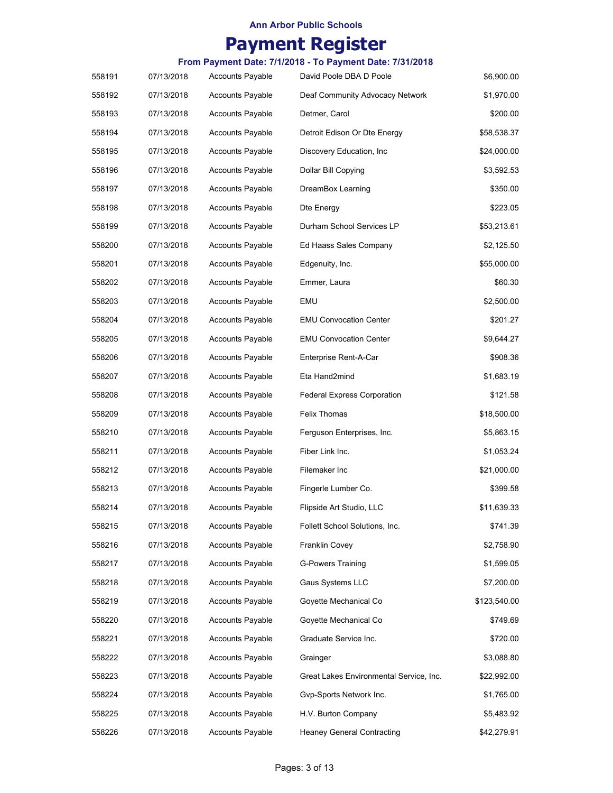# **Payment Register**

| 558191 | 07/13/2018 | <b>Accounts Payable</b> | David Poole DBA D Poole                 | \$6,900.00   |
|--------|------------|-------------------------|-----------------------------------------|--------------|
| 558192 | 07/13/2018 | <b>Accounts Payable</b> | Deaf Community Advocacy Network         | \$1,970.00   |
| 558193 | 07/13/2018 | <b>Accounts Payable</b> | Detmer, Carol                           | \$200.00     |
| 558194 | 07/13/2018 | <b>Accounts Payable</b> | Detroit Edison Or Dte Energy            | \$58,538.37  |
| 558195 | 07/13/2018 | <b>Accounts Payable</b> | Discovery Education, Inc.               | \$24,000.00  |
| 558196 | 07/13/2018 | <b>Accounts Payable</b> | Dollar Bill Copying                     | \$3,592.53   |
| 558197 | 07/13/2018 | <b>Accounts Payable</b> | DreamBox Learning                       | \$350.00     |
| 558198 | 07/13/2018 | <b>Accounts Payable</b> | Dte Energy                              | \$223.05     |
| 558199 | 07/13/2018 | <b>Accounts Payable</b> | Durham School Services LP               | \$53,213.61  |
| 558200 | 07/13/2018 | <b>Accounts Payable</b> | Ed Haass Sales Company                  | \$2,125.50   |
| 558201 | 07/13/2018 | <b>Accounts Payable</b> | Edgenuity, Inc.                         | \$55,000.00  |
| 558202 | 07/13/2018 | <b>Accounts Payable</b> | Emmer, Laura                            | \$60.30      |
| 558203 | 07/13/2018 | <b>Accounts Payable</b> | EMU                                     | \$2,500.00   |
| 558204 | 07/13/2018 | <b>Accounts Payable</b> | <b>EMU Convocation Center</b>           | \$201.27     |
| 558205 | 07/13/2018 | <b>Accounts Payable</b> | <b>EMU Convocation Center</b>           | \$9,644.27   |
| 558206 | 07/13/2018 | <b>Accounts Payable</b> | Enterprise Rent-A-Car                   | \$908.36     |
| 558207 | 07/13/2018 | <b>Accounts Payable</b> | Eta Hand2mind                           | \$1,683.19   |
| 558208 | 07/13/2018 | <b>Accounts Payable</b> | <b>Federal Express Corporation</b>      | \$121.58     |
| 558209 | 07/13/2018 | <b>Accounts Payable</b> | Felix Thomas                            | \$18,500.00  |
| 558210 | 07/13/2018 | <b>Accounts Payable</b> | Ferguson Enterprises, Inc.              | \$5,863.15   |
| 558211 | 07/13/2018 | <b>Accounts Payable</b> | Fiber Link Inc.                         | \$1,053.24   |
| 558212 | 07/13/2018 | <b>Accounts Payable</b> | Filemaker Inc                           | \$21,000.00  |
| 558213 | 07/13/2018 | <b>Accounts Payable</b> | Fingerle Lumber Co.                     | \$399.58     |
| 558214 | 07/13/2018 | <b>Accounts Payable</b> | Flipside Art Studio, LLC                | \$11,639.33  |
| 558215 | 07/13/2018 | <b>Accounts Payable</b> | Follett School Solutions, Inc.          | \$741.39     |
| 558216 | 07/13/2018 | <b>Accounts Payable</b> | Franklin Covey                          | \$2,758.90   |
| 558217 | 07/13/2018 | <b>Accounts Payable</b> | <b>G-Powers Training</b>                | \$1,599.05   |
| 558218 | 07/13/2018 | <b>Accounts Payable</b> | Gaus Systems LLC                        | \$7,200.00   |
| 558219 | 07/13/2018 | <b>Accounts Payable</b> | Goyette Mechanical Co                   | \$123,540.00 |
| 558220 | 07/13/2018 | <b>Accounts Payable</b> | Goyette Mechanical Co                   | \$749.69     |
| 558221 | 07/13/2018 | <b>Accounts Payable</b> | Graduate Service Inc.                   | \$720.00     |
| 558222 | 07/13/2018 | <b>Accounts Payable</b> | Grainger                                | \$3,088.80   |
| 558223 | 07/13/2018 | <b>Accounts Payable</b> | Great Lakes Environmental Service, Inc. | \$22,992.00  |
| 558224 | 07/13/2018 | <b>Accounts Payable</b> | Gvp-Sports Network Inc.                 | \$1,765.00   |
| 558225 | 07/13/2018 | <b>Accounts Payable</b> | H.V. Burton Company                     | \$5,483.92   |
| 558226 | 07/13/2018 | Accounts Payable        | <b>Heaney General Contracting</b>       | \$42,279.91  |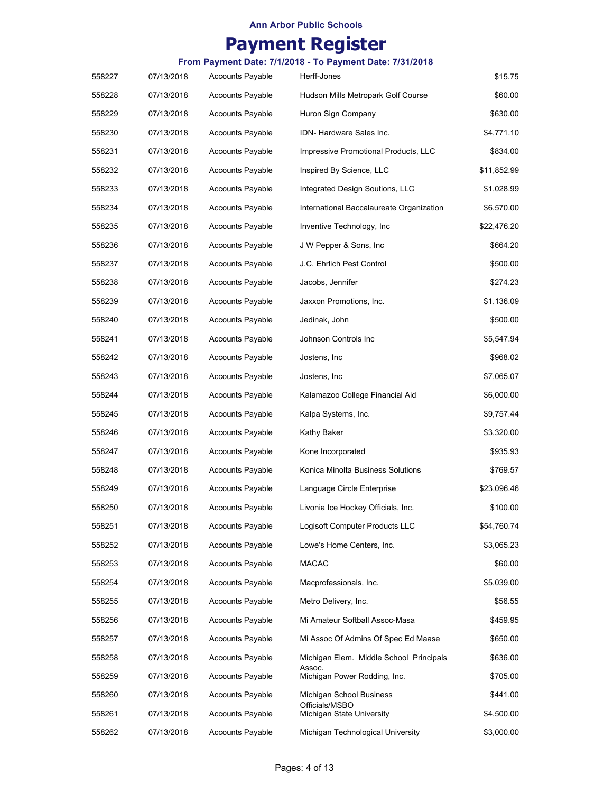# **Payment Register**

| 558227 | 07/13/2018 | <b>Accounts Payable</b> | Herff-Jones                                       | \$15.75     |
|--------|------------|-------------------------|---------------------------------------------------|-------------|
| 558228 | 07/13/2018 | <b>Accounts Payable</b> | Hudson Mills Metropark Golf Course                | \$60.00     |
| 558229 | 07/13/2018 | <b>Accounts Payable</b> | Huron Sign Company                                | \$630.00    |
| 558230 | 07/13/2018 | <b>Accounts Payable</b> | IDN- Hardware Sales Inc.                          | \$4,771.10  |
| 558231 | 07/13/2018 | <b>Accounts Payable</b> | Impressive Promotional Products, LLC              | \$834.00    |
| 558232 | 07/13/2018 | <b>Accounts Payable</b> | Inspired By Science, LLC                          | \$11,852.99 |
| 558233 | 07/13/2018 | <b>Accounts Payable</b> | Integrated Design Soutions, LLC                   | \$1,028.99  |
| 558234 | 07/13/2018 | <b>Accounts Payable</b> | International Baccalaureate Organization          | \$6,570.00  |
| 558235 | 07/13/2018 | <b>Accounts Payable</b> | Inventive Technology, Inc                         | \$22,476.20 |
| 558236 | 07/13/2018 | <b>Accounts Payable</b> | J W Pepper & Sons, Inc                            | \$664.20    |
| 558237 | 07/13/2018 | <b>Accounts Payable</b> | J.C. Ehrlich Pest Control                         | \$500.00    |
| 558238 | 07/13/2018 | <b>Accounts Payable</b> | Jacobs, Jennifer                                  | \$274.23    |
| 558239 | 07/13/2018 | <b>Accounts Payable</b> | Jaxxon Promotions, Inc.                           | \$1,136.09  |
| 558240 | 07/13/2018 | <b>Accounts Payable</b> | Jedinak, John                                     | \$500.00    |
| 558241 | 07/13/2018 | <b>Accounts Payable</b> | Johnson Controls Inc                              | \$5,547.94  |
| 558242 | 07/13/2018 | <b>Accounts Payable</b> | Jostens, Inc                                      | \$968.02    |
| 558243 | 07/13/2018 | <b>Accounts Payable</b> | Jostens, Inc                                      | \$7,065.07  |
| 558244 | 07/13/2018 | <b>Accounts Payable</b> | Kalamazoo College Financial Aid                   | \$6,000.00  |
| 558245 | 07/13/2018 | <b>Accounts Payable</b> | Kalpa Systems, Inc.                               | \$9,757.44  |
| 558246 | 07/13/2018 | <b>Accounts Payable</b> | Kathy Baker                                       | \$3,320.00  |
| 558247 | 07/13/2018 | <b>Accounts Payable</b> | Kone Incorporated                                 | \$935.93    |
| 558248 | 07/13/2018 | <b>Accounts Payable</b> | Konica Minolta Business Solutions                 | \$769.57    |
| 558249 | 07/13/2018 | <b>Accounts Payable</b> | Language Circle Enterprise                        | \$23,096.46 |
| 558250 | 07/13/2018 | <b>Accounts Payable</b> | Livonia Ice Hockey Officials, Inc.                | \$100.00    |
| 558251 | 07/13/2018 | <b>Accounts Payable</b> | Logisoft Computer Products LLC                    | \$54,760.74 |
| 558252 | 07/13/2018 | <b>Accounts Payable</b> | Lowe's Home Centers, Inc.                         | \$3,065.23  |
| 558253 | 07/13/2018 | <b>Accounts Payable</b> | MACAC                                             | \$60.00     |
| 558254 | 07/13/2018 | <b>Accounts Payable</b> | Macprofessionals, Inc.                            | \$5,039.00  |
| 558255 | 07/13/2018 | <b>Accounts Payable</b> | Metro Delivery, Inc.                              | \$56.55     |
| 558256 | 07/13/2018 | <b>Accounts Payable</b> | Mi Amateur Softball Assoc-Masa                    | \$459.95    |
| 558257 | 07/13/2018 | <b>Accounts Payable</b> | Mi Assoc Of Admins Of Spec Ed Maase               | \$650.00    |
| 558258 | 07/13/2018 | <b>Accounts Payable</b> | Michigan Elem. Middle School Principals<br>Assoc. | \$636.00    |
| 558259 | 07/13/2018 | <b>Accounts Payable</b> | Michigan Power Rodding, Inc.                      | \$705.00    |
| 558260 | 07/13/2018 | <b>Accounts Payable</b> | Michigan School Business<br>Officials/MSBO        | \$441.00    |
| 558261 | 07/13/2018 | <b>Accounts Payable</b> | Michigan State University                         | \$4,500.00  |
| 558262 | 07/13/2018 | Accounts Payable        | Michigan Technological University                 | \$3,000.00  |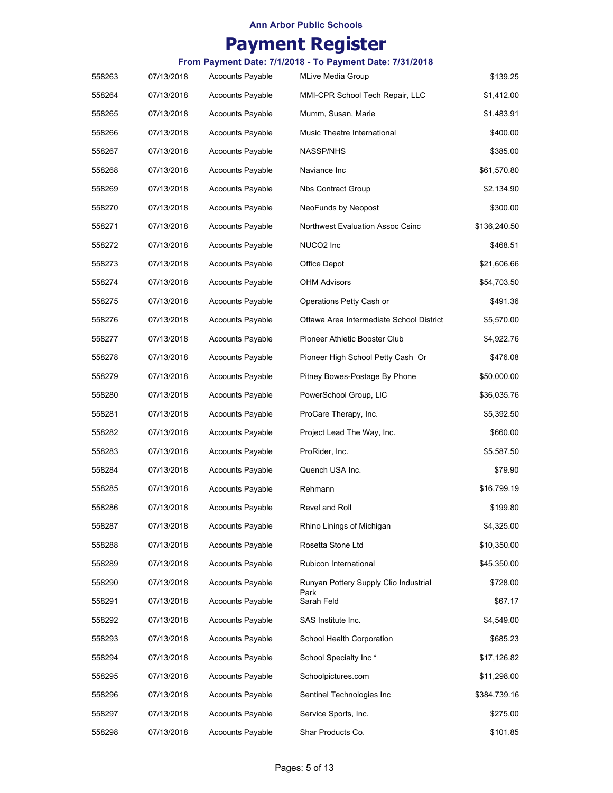## **Payment Register**

|        |            |                         | From Payment Date: 7/1/2018 - To Payment Date: 7/31/2018 |              |
|--------|------------|-------------------------|----------------------------------------------------------|--------------|
| 558263 | 07/13/2018 | <b>Accounts Payable</b> | <b>MLive Media Group</b>                                 | \$139.25     |
| 558264 | 07/13/2018 | <b>Accounts Payable</b> | MMI-CPR School Tech Repair, LLC                          | \$1,412.00   |
| 558265 | 07/13/2018 | <b>Accounts Payable</b> | Mumm, Susan, Marie                                       | \$1,483.91   |
| 558266 | 07/13/2018 | <b>Accounts Payable</b> | Music Theatre International                              | \$400.00     |
| 558267 | 07/13/2018 | <b>Accounts Payable</b> | NASSP/NHS                                                | \$385.00     |
| 558268 | 07/13/2018 | <b>Accounts Payable</b> | Naviance Inc                                             | \$61,570.80  |
| 558269 | 07/13/2018 | <b>Accounts Payable</b> | Nbs Contract Group                                       | \$2,134.90   |
| 558270 | 07/13/2018 | <b>Accounts Payable</b> | NeoFunds by Neopost                                      | \$300.00     |
| 558271 | 07/13/2018 | <b>Accounts Payable</b> | Northwest Evaluation Assoc Csinc                         | \$136,240.50 |
| 558272 | 07/13/2018 | <b>Accounts Payable</b> | NUCO <sub>2</sub> Inc                                    | \$468.51     |
| 558273 | 07/13/2018 | <b>Accounts Payable</b> | Office Depot                                             | \$21,606.66  |
| 558274 | 07/13/2018 | <b>Accounts Payable</b> | <b>OHM Advisors</b>                                      | \$54,703.50  |
| 558275 | 07/13/2018 | <b>Accounts Payable</b> | Operations Petty Cash or                                 | \$491.36     |
| 558276 | 07/13/2018 | <b>Accounts Payable</b> | Ottawa Area Intermediate School District                 | \$5,570.00   |
| 558277 | 07/13/2018 | <b>Accounts Payable</b> | Pioneer Athletic Booster Club                            | \$4,922.76   |
| 558278 | 07/13/2018 | <b>Accounts Payable</b> | Pioneer High School Petty Cash Or                        | \$476.08     |
| 558279 | 07/13/2018 | <b>Accounts Payable</b> | Pitney Bowes-Postage By Phone                            | \$50,000.00  |
| 558280 | 07/13/2018 | <b>Accounts Payable</b> | PowerSchool Group, LIC                                   | \$36,035.76  |
| 558281 | 07/13/2018 | <b>Accounts Payable</b> | ProCare Therapy, Inc.                                    | \$5,392.50   |
| 558282 | 07/13/2018 | <b>Accounts Payable</b> | Project Lead The Way, Inc.                               | \$660.00     |
| 558283 | 07/13/2018 | <b>Accounts Payable</b> | ProRider, Inc.                                           | \$5,587.50   |
| 558284 | 07/13/2018 | <b>Accounts Payable</b> | Quench USA Inc.                                          | \$79.90      |
| 558285 | 07/13/2018 | <b>Accounts Payable</b> | Rehmann                                                  | \$16,799.19  |
| 558286 | 07/13/2018 | <b>Accounts Payable</b> | Revel and Roll                                           | \$199.80     |
| 558287 | 07/13/2018 | <b>Accounts Payable</b> | Rhino Linings of Michigan                                | \$4,325.00   |
| 558288 | 07/13/2018 | <b>Accounts Payable</b> | Rosetta Stone Ltd                                        | \$10,350.00  |
| 558289 | 07/13/2018 | <b>Accounts Payable</b> | Rubicon International                                    | \$45,350.00  |
| 558290 | 07/13/2018 | <b>Accounts Payable</b> | Runyan Pottery Supply Clio Industrial                    | \$728.00     |
| 558291 | 07/13/2018 | <b>Accounts Payable</b> | Park<br>Sarah Feld                                       | \$67.17      |
| 558292 | 07/13/2018 | <b>Accounts Payable</b> | SAS Institute Inc.                                       | \$4,549.00   |
| 558293 | 07/13/2018 | <b>Accounts Payable</b> | School Health Corporation                                | \$685.23     |
| 558294 | 07/13/2018 | <b>Accounts Payable</b> | School Specialty Inc*                                    | \$17,126.82  |
| 558295 | 07/13/2018 | <b>Accounts Payable</b> | Schoolpictures.com                                       | \$11,298.00  |
| 558296 | 07/13/2018 | <b>Accounts Payable</b> | Sentinel Technologies Inc                                | \$384,739.16 |
| 558297 | 07/13/2018 | <b>Accounts Payable</b> | Service Sports, Inc.                                     | \$275.00     |
| 558298 | 07/13/2018 | <b>Accounts Payable</b> | Shar Products Co.                                        | \$101.85     |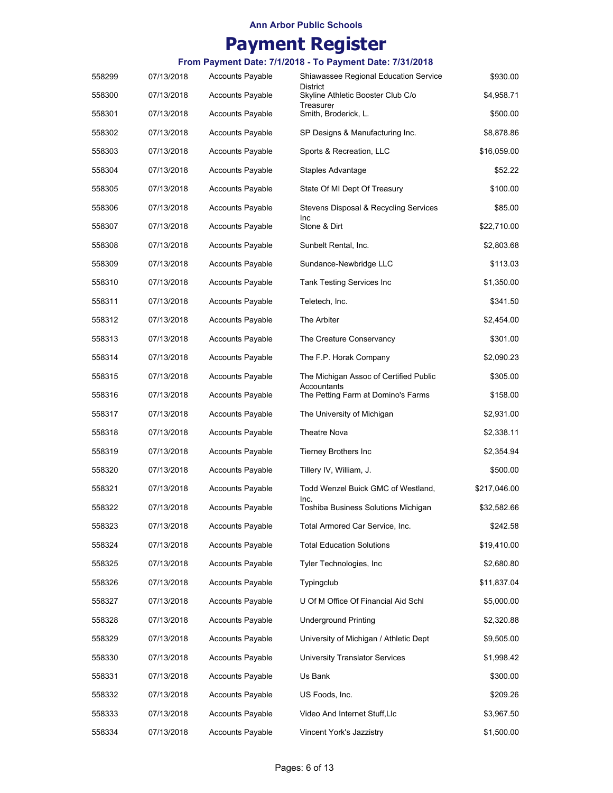# **Payment Register**

| 558299 | 07/13/2018 | <b>Accounts Payable</b> | Shiawassee Regional Education Service                 | \$930.00     |
|--------|------------|-------------------------|-------------------------------------------------------|--------------|
| 558300 | 07/13/2018 | <b>Accounts Payable</b> | District<br>Skyline Athletic Booster Club C/o         | \$4,958.71   |
| 558301 | 07/13/2018 | <b>Accounts Payable</b> | Treasurer<br>Smith, Broderick, L.                     | \$500.00     |
| 558302 | 07/13/2018 | <b>Accounts Payable</b> | SP Designs & Manufacturing Inc.                       | \$8,878.86   |
| 558303 | 07/13/2018 | <b>Accounts Payable</b> | Sports & Recreation, LLC                              | \$16,059.00  |
| 558304 | 07/13/2018 | <b>Accounts Payable</b> | Staples Advantage                                     | \$52.22      |
| 558305 | 07/13/2018 | <b>Accounts Payable</b> | State Of MI Dept Of Treasury                          | \$100.00     |
| 558306 | 07/13/2018 | <b>Accounts Payable</b> | Stevens Disposal & Recycling Services                 | \$85.00      |
| 558307 | 07/13/2018 | <b>Accounts Payable</b> | Inc<br>Stone & Dirt                                   | \$22,710.00  |
| 558308 | 07/13/2018 | <b>Accounts Payable</b> | Sunbelt Rental, Inc.                                  | \$2,803.68   |
| 558309 | 07/13/2018 | <b>Accounts Payable</b> | Sundance-Newbridge LLC                                | \$113.03     |
| 558310 | 07/13/2018 | <b>Accounts Payable</b> | Tank Testing Services Inc                             | \$1,350.00   |
| 558311 | 07/13/2018 | <b>Accounts Payable</b> | Teletech, Inc.                                        | \$341.50     |
| 558312 | 07/13/2018 | <b>Accounts Payable</b> | The Arbiter                                           | \$2,454.00   |
| 558313 | 07/13/2018 | <b>Accounts Payable</b> | The Creature Conservancy                              | \$301.00     |
| 558314 | 07/13/2018 | <b>Accounts Payable</b> | The F.P. Horak Company                                | \$2,090.23   |
| 558315 | 07/13/2018 | <b>Accounts Payable</b> | The Michigan Assoc of Certified Public<br>Accountants | \$305.00     |
| 558316 | 07/13/2018 | <b>Accounts Payable</b> | The Petting Farm at Domino's Farms                    | \$158.00     |
| 558317 | 07/13/2018 | <b>Accounts Payable</b> | The University of Michigan                            | \$2,931.00   |
| 558318 | 07/13/2018 | <b>Accounts Payable</b> | Theatre Nova                                          | \$2,338.11   |
| 558319 | 07/13/2018 | <b>Accounts Payable</b> | <b>Tierney Brothers Inc</b>                           | \$2,354.94   |
| 558320 | 07/13/2018 | Accounts Payable        | Tillery IV, William, J.                               | \$500.00     |
| 558321 | 07/13/2018 | <b>Accounts Payable</b> | Todd Wenzel Buick GMC of Westland,<br>Inc.            | \$217,046.00 |
| 558322 | 07/13/2018 | <b>Accounts Payable</b> | Toshiba Business Solutions Michigan                   | \$32,582.66  |
| 558323 | 07/13/2018 | <b>Accounts Payable</b> | Total Armored Car Service, Inc.                       | \$242.58     |
| 558324 | 07/13/2018 | <b>Accounts Payable</b> | <b>Total Education Solutions</b>                      | \$19,410.00  |
| 558325 | 07/13/2018 | <b>Accounts Payable</b> | Tyler Technologies, Inc                               | \$2,680.80   |
| 558326 | 07/13/2018 | <b>Accounts Payable</b> | Typingclub                                            | \$11,837.04  |
| 558327 | 07/13/2018 | <b>Accounts Payable</b> | U Of M Office Of Financial Aid Schl                   | \$5,000.00   |
| 558328 | 07/13/2018 | <b>Accounts Payable</b> | <b>Underground Printing</b>                           | \$2,320.88   |
| 558329 | 07/13/2018 | <b>Accounts Payable</b> | University of Michigan / Athletic Dept                | \$9,505.00   |
| 558330 | 07/13/2018 | <b>Accounts Payable</b> | <b>University Translator Services</b>                 | \$1,998.42   |
| 558331 | 07/13/2018 | <b>Accounts Payable</b> | Us Bank                                               | \$300.00     |
| 558332 | 07/13/2018 | <b>Accounts Payable</b> | US Foods, Inc.                                        | \$209.26     |
| 558333 | 07/13/2018 | <b>Accounts Payable</b> | Video And Internet Stuff, Llc                         | \$3,967.50   |
| 558334 | 07/13/2018 | Accounts Payable        | Vincent York's Jazzistry                              | \$1,500.00   |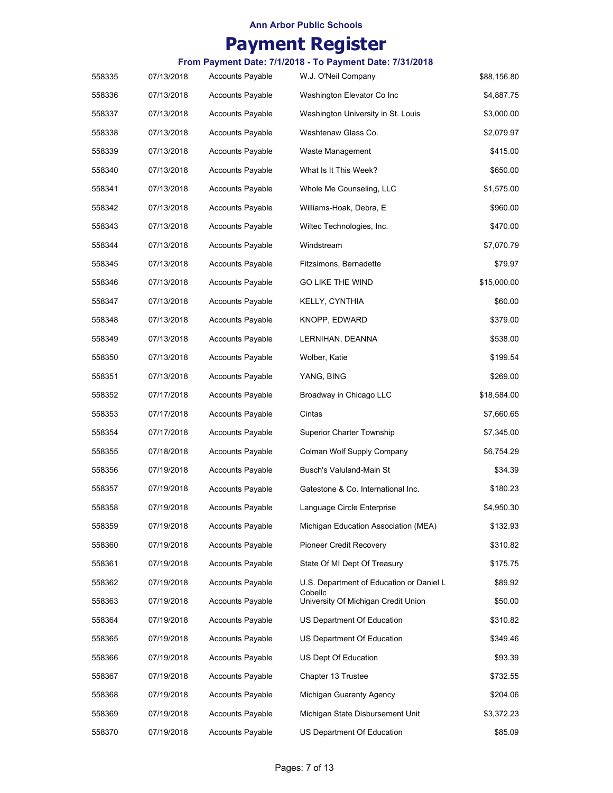## **Payment Register**

|        | From Payment Date: 7/1/2018 - To Payment Date: 7/31/2018 |                         |                                                |             |  |
|--------|----------------------------------------------------------|-------------------------|------------------------------------------------|-------------|--|
| 558335 | 07/13/2018                                               | <b>Accounts Payable</b> | W.J. O'Neil Company                            | \$88,156.80 |  |
| 558336 | 07/13/2018                                               | <b>Accounts Payable</b> | Washington Elevator Co Inc                     | \$4,887.75  |  |
| 558337 | 07/13/2018                                               | <b>Accounts Payable</b> | Washington University in St. Louis             | \$3,000.00  |  |
| 558338 | 07/13/2018                                               | <b>Accounts Payable</b> | Washtenaw Glass Co.                            | \$2,079.97  |  |
| 558339 | 07/13/2018                                               | Accounts Payable        | Waste Management                               | \$415.00    |  |
| 558340 | 07/13/2018                                               | Accounts Payable        | What Is It This Week?                          | \$650.00    |  |
| 558341 | 07/13/2018                                               | Accounts Payable        | Whole Me Counseling, LLC                       | \$1,575.00  |  |
| 558342 | 07/13/2018                                               | Accounts Payable        | Williams-Hoak, Debra, E                        | \$960.00    |  |
| 558343 | 07/13/2018                                               | Accounts Payable        | Wiltec Technologies, Inc.                      | \$470.00    |  |
| 558344 | 07/13/2018                                               | Accounts Payable        | Windstream                                     | \$7,070.79  |  |
| 558345 | 07/13/2018                                               | <b>Accounts Payable</b> | Fitzsimons, Bernadette                         | \$79.97     |  |
| 558346 | 07/13/2018                                               | <b>Accounts Payable</b> | <b>GO LIKE THE WIND</b>                        | \$15,000.00 |  |
| 558347 | 07/13/2018                                               | <b>Accounts Payable</b> | KELLY, CYNTHIA                                 | \$60.00     |  |
| 558348 | 07/13/2018                                               | <b>Accounts Payable</b> | KNOPP, EDWARD                                  | \$379.00    |  |
| 558349 | 07/13/2018                                               | <b>Accounts Payable</b> | LERNIHAN, DEANNA                               | \$538.00    |  |
| 558350 | 07/13/2018                                               | Accounts Payable        | Wolber, Katie                                  | \$199.54    |  |
| 558351 | 07/13/2018                                               | Accounts Payable        | YANG, BING                                     | \$269.00    |  |
| 558352 | 07/17/2018                                               | Accounts Payable        | Broadway in Chicago LLC                        | \$18,584.00 |  |
| 558353 | 07/17/2018                                               | <b>Accounts Payable</b> | Cintas                                         | \$7,660.65  |  |
| 558354 | 07/17/2018                                               | <b>Accounts Payable</b> | Superior Charter Township                      | \$7,345.00  |  |
| 558355 | 07/18/2018                                               | Accounts Payable        | Colman Wolf Supply Company                     | \$6,754.29  |  |
| 558356 | 07/19/2018                                               | Accounts Payable        | Busch's Valuland-Main St                       | \$34.39     |  |
| 558357 | 07/19/2018                                               | <b>Accounts Payable</b> | Gatestone & Co. International Inc.             | \$180.23    |  |
| 558358 | 07/19/2018                                               | <b>Accounts Payable</b> | Language Circle Enterprise                     | \$4,950.30  |  |
| 558359 | 07/19/2018                                               | Accounts Payable        | Michigan Education Association (MEA)           | \$132.93    |  |
| 558360 | 07/19/2018                                               | Accounts Payable        | <b>Pioneer Credit Recovery</b>                 | \$310.82    |  |
| 558361 | 07/19/2018                                               | <b>Accounts Payable</b> | State Of MI Dept Of Treasury                   | \$175.75    |  |
| 558362 | 07/19/2018                                               | Accounts Payable        | U.S. Department of Education or Daniel L       | \$89.92     |  |
| 558363 | 07/19/2018                                               | Accounts Payable        | Cobello<br>University Of Michigan Credit Union | \$50.00     |  |
| 558364 | 07/19/2018                                               | Accounts Payable        | US Department Of Education                     | \$310.82    |  |
| 558365 | 07/19/2018                                               | <b>Accounts Payable</b> | US Department Of Education                     | \$349.46    |  |
| 558366 | 07/19/2018                                               | Accounts Payable        | US Dept Of Education                           | \$93.39     |  |
| 558367 | 07/19/2018                                               | Accounts Payable        | Chapter 13 Trustee                             | \$732.55    |  |
| 558368 | 07/19/2018                                               | Accounts Payable        | Michigan Guaranty Agency                       | \$204.06    |  |
| 558369 | 07/19/2018                                               | Accounts Payable        | Michigan State Disbursement Unit               | \$3,372.23  |  |
| 558370 | 07/19/2018                                               | <b>Accounts Payable</b> | US Department Of Education                     | \$85.09     |  |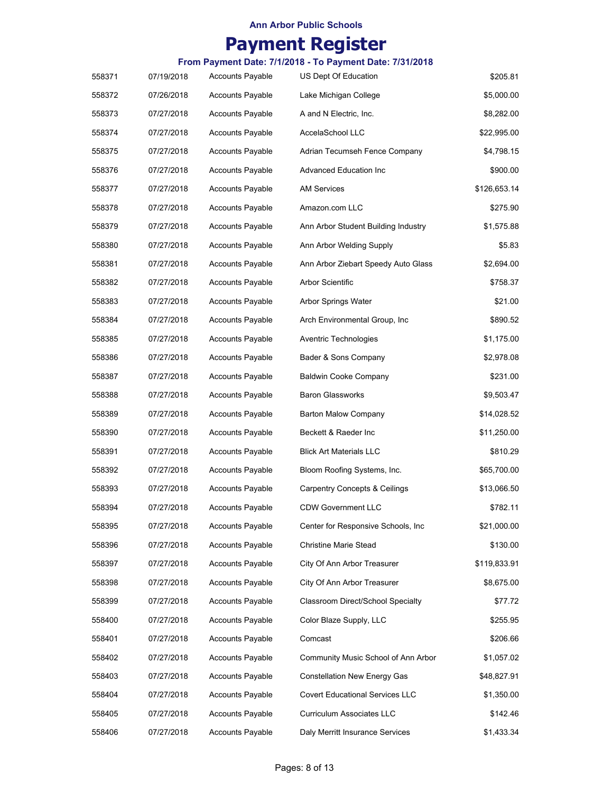# **Payment Register**

| 558371 | 07/19/2018 | <b>Accounts Payable</b> | US Dept Of Education                     | \$205.81     |
|--------|------------|-------------------------|------------------------------------------|--------------|
| 558372 | 07/26/2018 | <b>Accounts Payable</b> | Lake Michigan College                    | \$5,000.00   |
| 558373 | 07/27/2018 | <b>Accounts Payable</b> | A and N Electric, Inc.                   | \$8,282.00   |
| 558374 | 07/27/2018 | <b>Accounts Payable</b> | AccelaSchool LLC                         | \$22,995.00  |
| 558375 | 07/27/2018 | <b>Accounts Payable</b> | Adrian Tecumseh Fence Company            | \$4,798.15   |
| 558376 | 07/27/2018 | <b>Accounts Payable</b> | <b>Advanced Education Inc.</b>           | \$900.00     |
| 558377 | 07/27/2018 | <b>Accounts Payable</b> | AM Services                              | \$126,653.14 |
| 558378 | 07/27/2018 | <b>Accounts Payable</b> | Amazon.com LLC                           | \$275.90     |
| 558379 | 07/27/2018 | <b>Accounts Payable</b> | Ann Arbor Student Building Industry      | \$1,575.88   |
| 558380 | 07/27/2018 | <b>Accounts Payable</b> | Ann Arbor Welding Supply                 | \$5.83       |
| 558381 | 07/27/2018 | <b>Accounts Payable</b> | Ann Arbor Ziebart Speedy Auto Glass      | \$2,694.00   |
| 558382 | 07/27/2018 | <b>Accounts Payable</b> | Arbor Scientific                         | \$758.37     |
| 558383 | 07/27/2018 | <b>Accounts Payable</b> | Arbor Springs Water                      | \$21.00      |
| 558384 | 07/27/2018 | <b>Accounts Payable</b> | Arch Environmental Group, Inc            | \$890.52     |
| 558385 | 07/27/2018 | <b>Accounts Payable</b> | Aventric Technologies                    | \$1,175.00   |
| 558386 | 07/27/2018 | <b>Accounts Payable</b> | Bader & Sons Company                     | \$2,978.08   |
| 558387 | 07/27/2018 | <b>Accounts Payable</b> | <b>Baldwin Cooke Company</b>             | \$231.00     |
| 558388 | 07/27/2018 | <b>Accounts Payable</b> | <b>Baron Glassworks</b>                  | \$9,503.47   |
| 558389 | 07/27/2018 | <b>Accounts Payable</b> | <b>Barton Malow Company</b>              | \$14,028.52  |
| 558390 | 07/27/2018 | <b>Accounts Payable</b> | Beckett & Raeder Inc                     | \$11,250.00  |
| 558391 | 07/27/2018 | <b>Accounts Payable</b> | <b>Blick Art Materials LLC</b>           | \$810.29     |
| 558392 | 07/27/2018 | <b>Accounts Payable</b> | Bloom Roofing Systems, Inc.              | \$65,700.00  |
| 558393 | 07/27/2018 | <b>Accounts Payable</b> | <b>Carpentry Concepts &amp; Ceilings</b> | \$13,066.50  |
| 558394 | 07/27/2018 | <b>Accounts Payable</b> | <b>CDW Government LLC</b>                | \$782.11     |
| 558395 | 07/27/2018 | <b>Accounts Payable</b> | Center for Responsive Schools, Inc       | \$21,000.00  |
| 558396 | 07/27/2018 | Accounts Payable        | <b>Christine Marie Stead</b>             | \$130.00     |
| 558397 | 07/27/2018 | <b>Accounts Payable</b> | City Of Ann Arbor Treasurer              | \$119,833.91 |
| 558398 | 07/27/2018 | <b>Accounts Payable</b> | City Of Ann Arbor Treasurer              | \$8,675.00   |
| 558399 | 07/27/2018 | <b>Accounts Payable</b> | Classroom Direct/School Specialty        | \$77.72      |
| 558400 | 07/27/2018 | <b>Accounts Payable</b> | Color Blaze Supply, LLC                  | \$255.95     |
| 558401 | 07/27/2018 | <b>Accounts Payable</b> | Comcast                                  | \$206.66     |
| 558402 | 07/27/2018 | <b>Accounts Payable</b> | Community Music School of Ann Arbor      | \$1,057.02   |
| 558403 | 07/27/2018 | <b>Accounts Payable</b> | <b>Constellation New Energy Gas</b>      | \$48,827.91  |
| 558404 | 07/27/2018 | <b>Accounts Payable</b> | <b>Covert Educational Services LLC</b>   | \$1,350.00   |
| 558405 | 07/27/2018 | <b>Accounts Payable</b> | Curriculum Associates LLC                | \$142.46     |
| 558406 | 07/27/2018 | <b>Accounts Payable</b> | Daly Merritt Insurance Services          | \$1,433.34   |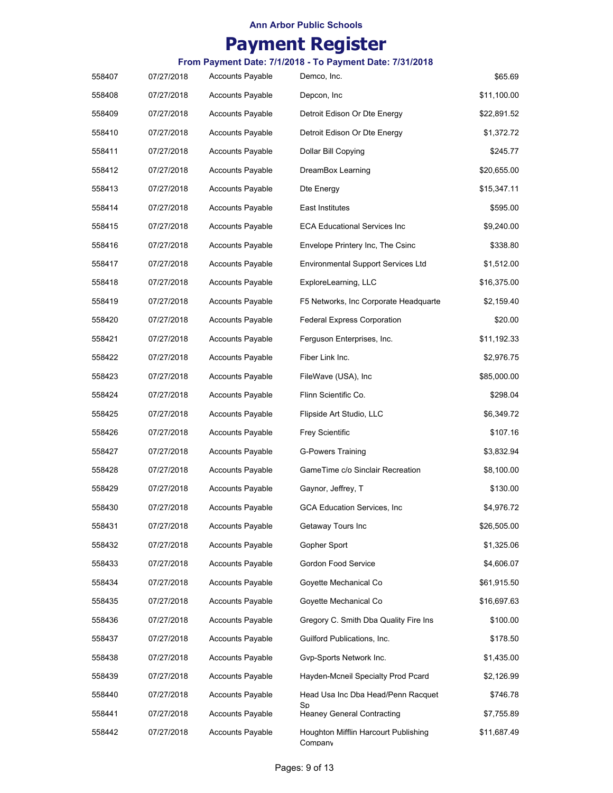# **Payment Register**

| 558407 | 07/27/2018 | <b>Accounts Payable</b> | Demco, Inc.                                     | \$65.69     |
|--------|------------|-------------------------|-------------------------------------------------|-------------|
| 558408 | 07/27/2018 | <b>Accounts Payable</b> | Depcon, Inc                                     | \$11,100.00 |
| 558409 | 07/27/2018 | <b>Accounts Payable</b> | Detroit Edison Or Dte Energy                    | \$22,891.52 |
| 558410 | 07/27/2018 | <b>Accounts Payable</b> | Detroit Edison Or Dte Energy                    | \$1,372.72  |
| 558411 | 07/27/2018 | <b>Accounts Payable</b> | Dollar Bill Copying                             | \$245.77    |
| 558412 | 07/27/2018 | <b>Accounts Payable</b> | DreamBox Learning                               | \$20,655.00 |
| 558413 | 07/27/2018 | <b>Accounts Payable</b> | Dte Energy                                      | \$15,347.11 |
| 558414 | 07/27/2018 | <b>Accounts Payable</b> | East Institutes                                 | \$595.00    |
| 558415 | 07/27/2018 | <b>Accounts Payable</b> | <b>ECA Educational Services Inc.</b>            | \$9,240.00  |
| 558416 | 07/27/2018 | <b>Accounts Payable</b> | Envelope Printery Inc, The Csinc                | \$338.80    |
| 558417 | 07/27/2018 | <b>Accounts Payable</b> | <b>Environmental Support Services Ltd</b>       | \$1,512.00  |
| 558418 | 07/27/2018 | <b>Accounts Payable</b> | ExploreLearning, LLC                            | \$16,375.00 |
| 558419 | 07/27/2018 | <b>Accounts Payable</b> | F5 Networks, Inc Corporate Headquarte           | \$2,159.40  |
| 558420 | 07/27/2018 | <b>Accounts Payable</b> | <b>Federal Express Corporation</b>              | \$20.00     |
| 558421 | 07/27/2018 | <b>Accounts Payable</b> | Ferguson Enterprises, Inc.                      | \$11,192.33 |
| 558422 | 07/27/2018 | <b>Accounts Payable</b> | Fiber Link Inc.                                 | \$2,976.75  |
| 558423 | 07/27/2018 | <b>Accounts Payable</b> | FileWave (USA), Inc.                            | \$85,000.00 |
| 558424 | 07/27/2018 | <b>Accounts Payable</b> | Flinn Scientific Co.                            | \$298.04    |
| 558425 | 07/27/2018 | <b>Accounts Payable</b> | Flipside Art Studio, LLC                        | \$6,349.72  |
| 558426 | 07/27/2018 | <b>Accounts Payable</b> | <b>Frey Scientific</b>                          | \$107.16    |
| 558427 | 07/27/2018 | <b>Accounts Payable</b> | <b>G-Powers Training</b>                        | \$3,832.94  |
| 558428 | 07/27/2018 | <b>Accounts Payable</b> | GameTime c/o Sinclair Recreation                | \$8,100.00  |
| 558429 | 07/27/2018 | <b>Accounts Payable</b> | Gaynor, Jeffrey, T                              | \$130.00    |
| 558430 | 07/27/2018 | <b>Accounts Payable</b> | <b>GCA Education Services, Inc.</b>             | \$4,976.72  |
| 558431 | 07/27/2018 | <b>Accounts Payable</b> | Getaway Tours Inc                               | \$26,505.00 |
| 558432 | 07/27/2018 | <b>Accounts Payable</b> | Gopher Sport                                    | \$1,325.06  |
| 558433 | 07/27/2018 | <b>Accounts Payable</b> | Gordon Food Service                             | \$4,606.07  |
| 558434 | 07/27/2018 | <b>Accounts Payable</b> | Goyette Mechanical Co                           | \$61,915.50 |
| 558435 | 07/27/2018 | <b>Accounts Payable</b> | Goyette Mechanical Co                           | \$16,697.63 |
| 558436 | 07/27/2018 | <b>Accounts Payable</b> | Gregory C. Smith Dba Quality Fire Ins           | \$100.00    |
| 558437 | 07/27/2018 | <b>Accounts Payable</b> | Guilford Publications, Inc.                     | \$178.50    |
| 558438 | 07/27/2018 | <b>Accounts Payable</b> | Gvp-Sports Network Inc.                         | \$1,435.00  |
| 558439 | 07/27/2018 | <b>Accounts Payable</b> | Hayden-Mcneil Specialty Prod Pcard              | \$2,126.99  |
| 558440 | 07/27/2018 | <b>Accounts Payable</b> | Head Usa Inc Dba Head/Penn Racquet              | \$746.78    |
| 558441 | 07/27/2018 | <b>Accounts Payable</b> | Sp<br><b>Heaney General Contracting</b>         | \$7,755.89  |
| 558442 | 07/27/2018 | <b>Accounts Payable</b> | Houghton Mifflin Harcourt Publishing<br>Company | \$11,687.49 |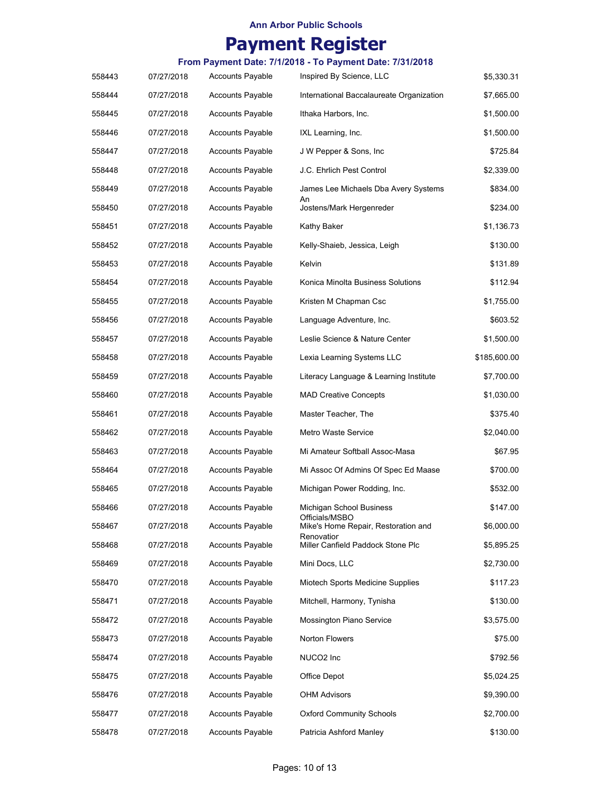# **Payment Register**

| 558443 | 07/27/2018 | <b>Accounts Payable</b> | Inspired By Science, LLC                              | \$5,330.31   |
|--------|------------|-------------------------|-------------------------------------------------------|--------------|
| 558444 | 07/27/2018 | <b>Accounts Payable</b> | International Baccalaureate Organization              | \$7,665.00   |
| 558445 | 07/27/2018 | <b>Accounts Payable</b> | Ithaka Harbors, Inc.                                  | \$1,500.00   |
| 558446 | 07/27/2018 | <b>Accounts Payable</b> | IXL Learning, Inc.                                    | \$1,500.00   |
| 558447 | 07/27/2018 | <b>Accounts Payable</b> | J W Pepper & Sons, Inc                                | \$725.84     |
| 558448 | 07/27/2018 | <b>Accounts Payable</b> | J.C. Ehrlich Pest Control                             | \$2,339.00   |
| 558449 | 07/27/2018 | <b>Accounts Payable</b> | James Lee Michaels Dba Avery Systems                  | \$834.00     |
| 558450 | 07/27/2018 | <b>Accounts Payable</b> | An<br>Jostens/Mark Hergenreder                        | \$234.00     |
| 558451 | 07/27/2018 | <b>Accounts Payable</b> | Kathy Baker                                           | \$1,136.73   |
| 558452 | 07/27/2018 | <b>Accounts Payable</b> | Kelly-Shaieb, Jessica, Leigh                          | \$130.00     |
| 558453 | 07/27/2018 | <b>Accounts Payable</b> | Kelvin                                                | \$131.89     |
| 558454 | 07/27/2018 | <b>Accounts Payable</b> | Konica Minolta Business Solutions                     | \$112.94     |
| 558455 | 07/27/2018 | <b>Accounts Payable</b> | Kristen M Chapman Csc                                 | \$1,755.00   |
| 558456 | 07/27/2018 | <b>Accounts Payable</b> | Language Adventure, Inc.                              | \$603.52     |
| 558457 | 07/27/2018 | <b>Accounts Payable</b> | Leslie Science & Nature Center                        | \$1,500.00   |
| 558458 | 07/27/2018 | <b>Accounts Payable</b> | Lexia Learning Systems LLC                            | \$185,600.00 |
| 558459 | 07/27/2018 | <b>Accounts Payable</b> | Literacy Language & Learning Institute                | \$7,700.00   |
| 558460 | 07/27/2018 | <b>Accounts Payable</b> | <b>MAD Creative Concepts</b>                          | \$1,030.00   |
| 558461 | 07/27/2018 | <b>Accounts Payable</b> | Master Teacher, The                                   | \$375.40     |
| 558462 | 07/27/2018 | <b>Accounts Payable</b> | Metro Waste Service                                   | \$2,040.00   |
| 558463 | 07/27/2018 | <b>Accounts Payable</b> | Mi Amateur Softball Assoc-Masa                        | \$67.95      |
| 558464 | 07/27/2018 | <b>Accounts Payable</b> | Mi Assoc Of Admins Of Spec Ed Maase                   | \$700.00     |
| 558465 | 07/27/2018 | <b>Accounts Payable</b> | Michigan Power Rodding, Inc.                          | \$532.00     |
| 558466 | 07/27/2018 | <b>Accounts Payable</b> | Michigan School Business                              | \$147.00     |
| 558467 | 07/27/2018 | <b>Accounts Payable</b> | Officials/MSBO<br>Mike's Home Repair, Restoration and | \$6,000.00   |
| 558468 | 07/27/2018 | <b>Accounts Payable</b> | Renovatior<br>Miller Canfield Paddock Stone Plc       | \$5,895.25   |
| 558469 | 07/27/2018 | <b>Accounts Payable</b> | Mini Docs, LLC                                        | \$2,730.00   |
| 558470 | 07/27/2018 | <b>Accounts Payable</b> | Miotech Sports Medicine Supplies                      | \$117.23     |
| 558471 | 07/27/2018 | <b>Accounts Payable</b> | Mitchell, Harmony, Tynisha                            | \$130.00     |
| 558472 | 07/27/2018 | <b>Accounts Payable</b> | Mossington Piano Service                              | \$3,575.00   |
| 558473 | 07/27/2018 | <b>Accounts Payable</b> | Norton Flowers                                        | \$75.00      |
| 558474 | 07/27/2018 | <b>Accounts Payable</b> | NUCO2 Inc                                             | \$792.56     |
| 558475 | 07/27/2018 | <b>Accounts Payable</b> | Office Depot                                          | \$5,024.25   |
| 558476 | 07/27/2018 | <b>Accounts Payable</b> | <b>OHM Advisors</b>                                   | \$9,390.00   |
| 558477 | 07/27/2018 | <b>Accounts Payable</b> | <b>Oxford Community Schools</b>                       | \$2,700.00   |
| 558478 | 07/27/2018 | <b>Accounts Payable</b> | Patricia Ashford Manley                               | \$130.00     |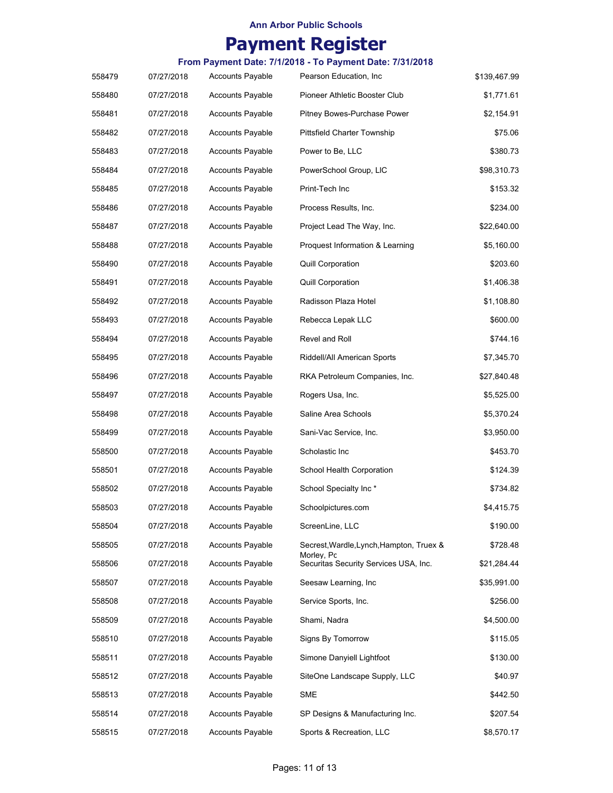# **Payment Register**

| 558479 | 07/27/2018 | <b>Accounts Payable</b> | Pearson Education, Inc.                             | \$139,467.99 |
|--------|------------|-------------------------|-----------------------------------------------------|--------------|
| 558480 | 07/27/2018 | <b>Accounts Payable</b> | Pioneer Athletic Booster Club                       | \$1,771.61   |
| 558481 | 07/27/2018 | <b>Accounts Payable</b> | Pitney Bowes-Purchase Power                         | \$2,154.91   |
| 558482 | 07/27/2018 | <b>Accounts Payable</b> | Pittsfield Charter Township                         | \$75.06      |
| 558483 | 07/27/2018 | <b>Accounts Payable</b> | Power to Be, LLC                                    | \$380.73     |
| 558484 | 07/27/2018 | <b>Accounts Payable</b> | PowerSchool Group, LIC                              | \$98,310.73  |
| 558485 | 07/27/2018 | <b>Accounts Payable</b> | Print-Tech Inc                                      | \$153.32     |
| 558486 | 07/27/2018 | <b>Accounts Payable</b> | Process Results, Inc.                               | \$234.00     |
| 558487 | 07/27/2018 | <b>Accounts Payable</b> | Project Lead The Way, Inc.                          | \$22,640.00  |
| 558488 | 07/27/2018 | <b>Accounts Payable</b> | Proquest Information & Learning                     | \$5,160.00   |
| 558490 | 07/27/2018 | <b>Accounts Payable</b> | <b>Quill Corporation</b>                            | \$203.60     |
| 558491 | 07/27/2018 | <b>Accounts Payable</b> | Quill Corporation                                   | \$1,406.38   |
| 558492 | 07/27/2018 | <b>Accounts Payable</b> | Radisson Plaza Hotel                                | \$1,108.80   |
| 558493 | 07/27/2018 | <b>Accounts Payable</b> | Rebecca Lepak LLC                                   | \$600.00     |
| 558494 | 07/27/2018 | <b>Accounts Payable</b> | Revel and Roll                                      | \$744.16     |
| 558495 | 07/27/2018 | <b>Accounts Payable</b> | Riddell/All American Sports                         | \$7,345.70   |
| 558496 | 07/27/2018 | <b>Accounts Payable</b> | RKA Petroleum Companies, Inc.                       | \$27,840.48  |
| 558497 | 07/27/2018 | <b>Accounts Payable</b> | Rogers Usa, Inc.                                    | \$5,525.00   |
| 558498 | 07/27/2018 | <b>Accounts Payable</b> | Saline Area Schools                                 | \$5,370.24   |
| 558499 | 07/27/2018 | <b>Accounts Payable</b> | Sani-Vac Service, Inc.                              | \$3,950.00   |
| 558500 | 07/27/2018 | <b>Accounts Payable</b> | Scholastic Inc                                      | \$453.70     |
| 558501 | 07/27/2018 | <b>Accounts Payable</b> | School Health Corporation                           | \$124.39     |
| 558502 | 07/27/2018 | <b>Accounts Payable</b> | School Specialty Inc*                               | \$734.82     |
| 558503 | 07/27/2018 | <b>Accounts Payable</b> | Schoolpictures.com                                  | \$4,415.75   |
| 558504 | 07/27/2018 | <b>Accounts Payable</b> | ScreenLine, LLC                                     | \$190.00     |
| 558505 | 07/27/2018 | <b>Accounts Payable</b> | Secrest, Wardle, Lynch, Hampton, Truex &            | \$728.48     |
| 558506 | 07/27/2018 | <b>Accounts Payable</b> | Morley, Pc<br>Securitas Security Services USA, Inc. | \$21,284.44  |
| 558507 | 07/27/2018 | <b>Accounts Payable</b> | Seesaw Learning, Inc                                | \$35,991.00  |
| 558508 | 07/27/2018 | <b>Accounts Payable</b> | Service Sports, Inc.                                | \$256.00     |
| 558509 | 07/27/2018 | <b>Accounts Payable</b> | Shami, Nadra                                        | \$4,500.00   |
| 558510 | 07/27/2018 | <b>Accounts Payable</b> | Signs By Tomorrow                                   | \$115.05     |
| 558511 | 07/27/2018 | <b>Accounts Payable</b> | Simone Danyiell Lightfoot                           | \$130.00     |
| 558512 | 07/27/2018 | <b>Accounts Payable</b> | SiteOne Landscape Supply, LLC                       | \$40.97      |
| 558513 | 07/27/2018 | <b>Accounts Payable</b> | SME                                                 | \$442.50     |
| 558514 | 07/27/2018 | <b>Accounts Payable</b> | SP Designs & Manufacturing Inc.                     | \$207.54     |
| 558515 | 07/27/2018 | <b>Accounts Payable</b> | Sports & Recreation, LLC                            | \$8,570.17   |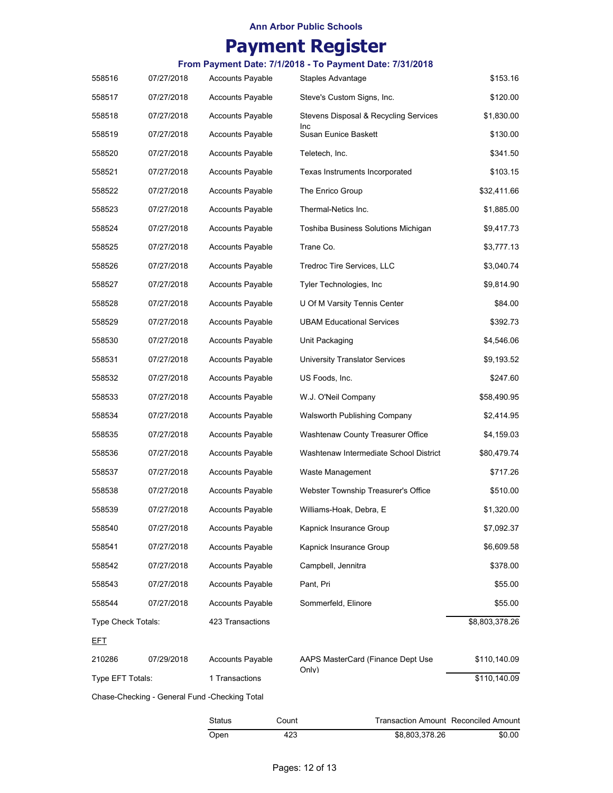# **Payment Register**

### **From Payment Date: 7/1/2018 - To Payment Date: 7/31/2018**

| 558516             | 07/27/2018 | <b>Accounts Payable</b>                       | Staples Advantage                      | \$153.16       |
|--------------------|------------|-----------------------------------------------|----------------------------------------|----------------|
| 558517             | 07/27/2018 | <b>Accounts Payable</b>                       | Steve's Custom Signs, Inc.             | \$120.00       |
| 558518             | 07/27/2018 | <b>Accounts Payable</b>                       | Stevens Disposal & Recycling Services  | \$1,830.00     |
| 558519             | 07/27/2018 | <b>Accounts Payable</b>                       | Inc<br>Susan Eunice Baskett            | \$130.00       |
| 558520             | 07/27/2018 | <b>Accounts Payable</b>                       | Teletech, Inc.                         | \$341.50       |
| 558521             | 07/27/2018 | <b>Accounts Payable</b>                       | Texas Instruments Incorporated         | \$103.15       |
| 558522             | 07/27/2018 | <b>Accounts Payable</b>                       | The Enrico Group                       | \$32,411.66    |
| 558523             | 07/27/2018 | <b>Accounts Payable</b>                       | Thermal-Netics Inc.                    | \$1,885.00     |
| 558524             | 07/27/2018 | <b>Accounts Payable</b>                       | Toshiba Business Solutions Michigan    | \$9,417.73     |
| 558525             | 07/27/2018 | <b>Accounts Payable</b>                       | Trane Co.                              | \$3,777.13     |
| 558526             | 07/27/2018 | <b>Accounts Payable</b>                       | Tredroc Tire Services, LLC             | \$3,040.74     |
| 558527             | 07/27/2018 | <b>Accounts Payable</b>                       | Tyler Technologies, Inc.               | \$9,814.90     |
| 558528             | 07/27/2018 | <b>Accounts Payable</b>                       | U Of M Varsity Tennis Center           | \$84.00        |
| 558529             | 07/27/2018 | <b>Accounts Payable</b>                       | <b>UBAM Educational Services</b>       | \$392.73       |
| 558530             | 07/27/2018 | <b>Accounts Payable</b>                       | Unit Packaging                         | \$4,546.06     |
| 558531             | 07/27/2018 | <b>Accounts Payable</b>                       | <b>University Translator Services</b>  | \$9,193.52     |
| 558532             | 07/27/2018 | <b>Accounts Payable</b>                       | US Foods, Inc.                         | \$247.60       |
| 558533             | 07/27/2018 | <b>Accounts Payable</b>                       | W.J. O'Neil Company                    | \$58,490.95    |
| 558534             | 07/27/2018 | <b>Accounts Payable</b>                       | Walsworth Publishing Company           | \$2,414.95     |
| 558535             | 07/27/2018 | <b>Accounts Payable</b>                       | Washtenaw County Treasurer Office      | \$4,159.03     |
| 558536             | 07/27/2018 | <b>Accounts Payable</b>                       | Washtenaw Intermediate School District | \$80,479.74    |
| 558537             | 07/27/2018 | <b>Accounts Payable</b>                       | Waste Management                       | \$717.26       |
| 558538             | 07/27/2018 | <b>Accounts Payable</b>                       | Webster Township Treasurer's Office    | \$510.00       |
| 558539             | 07/27/2018 | <b>Accounts Payable</b>                       | Williams-Hoak, Debra, E                | \$1,320.00     |
| 558540             | 07/27/2018 | <b>Accounts Payable</b>                       | Kapnick Insurance Group                | \$7,092.37     |
| 558541             | 07/27/2018 | <b>Accounts Payable</b>                       | Kapnick Insurance Group                | \$6,609.58     |
| 558542             | 07/27/2018 | <b>Accounts Payable</b>                       | Campbell, Jennitra                     | \$378.00       |
| 558543             | 07/27/2018 | <b>Accounts Payable</b>                       | Pant, Pri                              | \$55.00        |
| 558544             | 07/27/2018 | <b>Accounts Payable</b>                       | Sommerfeld, Elinore                    | \$55.00        |
| Type Check Totals: |            | 423 Transactions                              |                                        | \$8,803,378.26 |
| <u>EFT</u>         |            |                                               |                                        |                |
| 210286             | 07/29/2018 | <b>Accounts Payable</b>                       | AAPS MasterCard (Finance Dept Use      | \$110,140.09   |
| Type EFT Totals:   |            | 1 Transactions                                | Only)                                  | \$110,140.09   |
|                    |            | Chase-Checking - General Fund -Checking Total |                                        |                |
|                    |            | Status<br>Count                               | Transaction Amount Reconciled Amount   |                |

Open 423 \$0.00 \$8,803,378.26